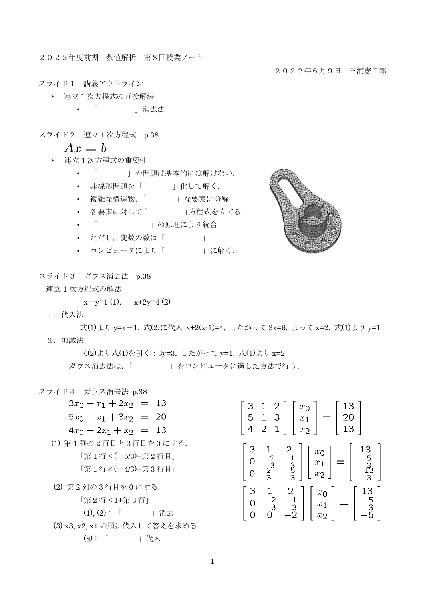2022年度前期 数値解析 第8回授業ノート

2022年6月9日 三浦憲二郎

スライド1 講義アウトライン

- 連立 1 次方程式の直接解法
	- 「 」消去法
- スライド2 連立1次方程式 p.38

$$
Ax = b
$$

- 連立 1 次方程式の重要性
	- 「 」の問題は基本的には解けない.
	- 非線形問題を「 」化して解く.
	- 複雑な構造物,「 」な要素に分解
	- 各要素に対して「 」方程式を立てる.
	- 「 」 「 の原理により統合
	- ただし、変数の数は「 」
	- コンピュータにより「 」に解く.



スライド3 ガウス消去法 p.38

連立 1 次方程式の解法

 $x-y=1$  (1),  $x+2y=4$  (2)

1.代入法

式(1)より y=x-1, 式(2)に代入 x+2(x-1)=4, したがって 3x=6, よって x=2, 式(1)より y=1 2.加減法

 式(2)より式(1)を引く:3y=3, したがって y=1, 式(1)より x=2 ガウス消去法は、「 」 」をコンピュータに適した方法で行う.

- スライド4 ガウス消去法 p.38
	- $3x_0 + x_1 + 2x_2 = 13$  $5x_0 + x_1 + 3x_2 = 20$  $4x_0 + 2x_1 + x_2 = 13$ (1) 第 1 列の 2 行目と3行目を 0 にする. 「第 1 行×(-5/3)+第 2 行目」 「第 1 行×(-4/3)+第 3 行目」 (2) 第 2 列の 3 行目を 0 にする. 「第 2 行×1+第 3 行」 (1), (2) : 「 」消去

| З<br>5 | 2<br>З<br>$\overline{2}$<br>1 |              | $x_0$<br>$x_1$<br>$x_2$ |                                    | 13<br>U<br>13 |                                                          |
|--------|-------------------------------|--------------|-------------------------|------------------------------------|---------------|----------------------------------------------------------|
|        | $\frac{2}{3}$                 | iczal<br>S   |                         | $x_0$<br>$\overline{x_1}$<br>$x_2$ |               | $\begin{array}{c} 13 \\ 5 \end{array}$<br>$\overline{3}$ |
|        | $rac{2}{3}$                   | 2<br>उँ<br>ž |                         | $x_0$<br>$\overline{x}_1$<br>$x_2$ |               | 13<br>ī                                                  |

(3) x3, x2, x1 の順に代入して答えを求める.

(3) : 「 」代入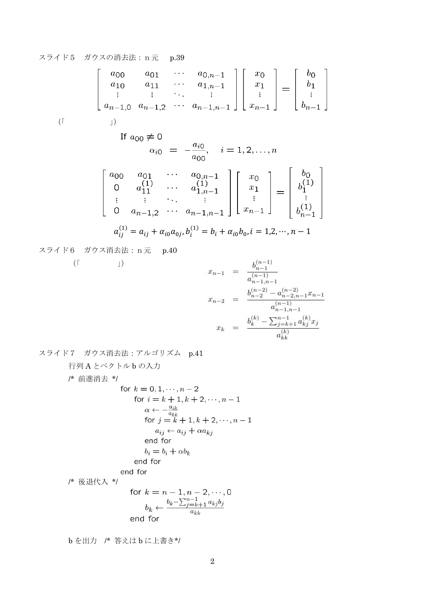## スライド5 ガウスの消去法:n元 p.39

$$
\begin{bmatrix}\na_{00} & a_{01} & \cdots & a_{0,n-1} \\
a_{10} & a_{11} & \cdots & a_{1,n-1} \\
\vdots & \vdots & \ddots & \vdots \\
a_{n-1,0} & a_{n-1,2} & \cdots & a_{n-1,n-1}\n\end{bmatrix}\n\begin{bmatrix}\nx_0 \\
x_1 \\
\vdots \\
x_{n-1}\n\end{bmatrix} =\n\begin{bmatrix}\nb_0 \\
b_1 \\
\vdots \\
b_{n-1}\n\end{bmatrix}
$$
\n(f\nj)  
\nIf  $a_{00} \neq 0$   
\n $\alpha_{i0} = -\frac{a_{i0}}{a_{00}}, \quad i = 1, 2, \ldots, n$   
\n
$$
\begin{bmatrix}\na_{00} & a_{01} & \cdots & a_{0,n-1} \\
0 & a_{11}^{\{1\}} & \cdots & a_{1,n-1}^{\{1\}} \\
\vdots & \vdots & \ddots & \vdots \\
0 & a_{n-1,2}^{\{1\}} & \cdots & a_{n-1,n-1}\n\end{bmatrix}\n\begin{bmatrix}\nx_0 \\
x_1 \\
\vdots \\
x_{n-1}\n\end{bmatrix} =\n\begin{bmatrix}\nb_0 \\
b_1^{(1)} \\
\vdots \\
b_1^{(1)} \\
b_1^{(1)}\n\end{bmatrix}
$$
\n
$$
a_{ij}^{(1)} = a_{ij} + a_{i0}a_{0j}, b_i^{(1)} = b_i + a_{i0}b_{0}, i = 1, 2, \ldots, n-1
$$

スライド6 ガウス消去法:n元 p.40  $(\lceil \qquad \qquad \rceil)$  $x_{n-1} \hspace{2mm} = \hspace{2mm} \frac{b_{n-1}^{(n-1)}}{a_{n-1,n-1}^{(n-1)}}$  $x_{n-2} = \frac{b_{n-1,n-1}^{(n-2)} - a_{n-2,n-1}^{(n-2)} x_{n-1}}{a_{n-1,n-1}^{(n-1)}}$  $x_k = \frac{b_k^{(k)} - \sum_{j=k+1}^{n-1} a_{kj}^{(k)} x_j}{a_{kk}^{(k)}}$ 

スライド7 ガウス消去法:アルゴリズム p.41

行列 A とベクトル b の入力

/\* 
$$
\begin{array}{ll}\n\text{# } \#\text{ } & \text{for } k = 0, 1, \dots, n-2 \\
& \text{for } i = k+1, k+2, \dots, n-1 \\
& \alpha \leftarrow -\frac{a_{ik}}{a_{kk}} \\
& \text{for } j = k+1, k+2, \dots, n-1 \\
& \text{if } a_{ij} \leftarrow a_{ij} + \alpha a_{kj} \\
& \text{end for} \\
& b_i = b_i + \alpha b_k \\
& \text{end for} \\
\text{# } \#\text{ } & \text{if } k \text{ and for} \\
\text{# } k \text{ and for} \\
\text{# } k = n-1, n-2, \dots, 0 \\
& \text{if } b_k = \sum_{j=k+1}^{n-1} a_{kj} b_j\n\end{array}
$$

$$
b_k \leftarrow \frac{b_k}{a_{kk}}
$$

b を出力 /\* 答えは b に上書き\*/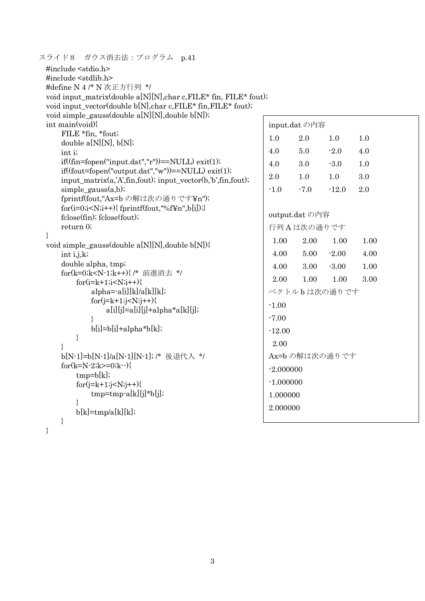| ハノコ FO- タッパ 旧 ム 14 エノ ヒノ ノ ムー                                                                                                        |             |                |               |      |  |
|--------------------------------------------------------------------------------------------------------------------------------------|-------------|----------------|---------------|------|--|
| #include <stdio.h><br/>#include <stdlib.h></stdlib.h></stdio.h>                                                                      |             |                |               |      |  |
| #define N 4 /* N 次正方行列 */                                                                                                            |             |                |               |      |  |
| void input_matrix(double a[N][N], char c, FILE* fin, FILE* fout);                                                                    |             |                |               |      |  |
| void input_vector(double b[N], char c, FILE* fin, FILE* fout);                                                                       |             |                |               |      |  |
| void simple_gauss(double $a[N][N]$ , double $b[N]$ );                                                                                |             |                |               |      |  |
| int main(void)                                                                                                                       |             | input.dat の内容  |               |      |  |
| FILE *fin, *fout;                                                                                                                    | 1.0         | 2.0            | 1.0           | 1.0  |  |
| double $a[N][N], b[N];$                                                                                                              |             |                |               |      |  |
| int i;                                                                                                                               | 4.0         | 5.0            | $-2.0$        | 4.0  |  |
| $if((fin=fopen("input.dat", "r")) == NULL) exit(1);$                                                                                 | 4.0         | 3.0            | $-3.0$        | 1.0  |  |
| $if((fout=fopen("output.dat", "w")) == NULL) exit(1);$<br>$input_matrix(a, 'A', fin, foot); input_vector(b, 'b', fin, foot);$        | 2.0         | 1.0            | 1.0           | 3.0  |  |
| $simple\_gauss(a,b);$                                                                                                                | $-1.0$      | $-7.0$         | $-12.0$       | 2.0  |  |
| fprintf(fout,"Ax=b の解は次の通りです¥n");                                                                                                    |             |                |               |      |  |
| $for(i=0,i fprintf(fout,"%f\\{1}n",b[i]);}$                                                                                          |             |                |               |      |  |
| fclose(fin); fclose(fout);                                                                                                           |             | output.dat の内容 |               |      |  |
| return 0;                                                                                                                            |             | 行列Aは次の通りです     |               |      |  |
|                                                                                                                                      | 1.00        | 2.00           | 1.00          | 1.00 |  |
| void simple_gauss(double a[N][N], double b[N]){<br>int $i,j,k$ ;                                                                     | 4.00        | 5.00           | $-2.00$       | 4.00 |  |
| double alpha, tmp;                                                                                                                   |             |                |               |      |  |
| for(k=0;k <n-1;k++){ *="" <="" td="" 前進消去=""><td>4.00</td><td>3.00</td><td><math>-3.00</math></td><td>1.00</td><td></td></n-1;k++){> | 4.00        | 3.00           | $-3.00$       | 1.00 |  |
| $for(i=k+1;i< N;i++)\{$                                                                                                              | 2.00        | 1.00           | 1.00          | 3.00 |  |
| $alpha = -a[i][k]/a[k][k];$                                                                                                          |             |                | ベクトルbは次の通りです  |      |  |
| $for(j=k+1;j$                                                                                                                        | $-1.00$     |                |               |      |  |
| $a[i][j]=a[i][j]+alpha*a[k][j];$                                                                                                     | $-7.00$     |                |               |      |  |
| $\mathcal{E}$<br>$b[i]=b[i]+alpha*b[k];$                                                                                             |             |                |               |      |  |
| }                                                                                                                                    | $-12.00$    |                |               |      |  |
| ∤                                                                                                                                    | 2.00        |                |               |      |  |
| b[N-1]=b[N-1]/a[N-1][N-1]; /* 後退代入 */                                                                                                |             |                | Ax=bの解は次の通りです |      |  |
| for $(k=N-2; k>=0; k-\)$                                                                                                             | $-2.000000$ |                |               |      |  |
| $tmp=b[k];$                                                                                                                          |             |                |               |      |  |
| $for (j=k+1; j < N; j++)\{$                                                                                                          | $-1.000000$ |                |               |      |  |
| tmp=tmp-a[k][j]*b[j];                                                                                                                | 1.000000    |                |               |      |  |
| $b[k]=tmp/a[k][k];$                                                                                                                  | 2.000000    |                |               |      |  |
| }                                                                                                                                    |             |                |               |      |  |
| }                                                                                                                                    |             |                |               |      |  |